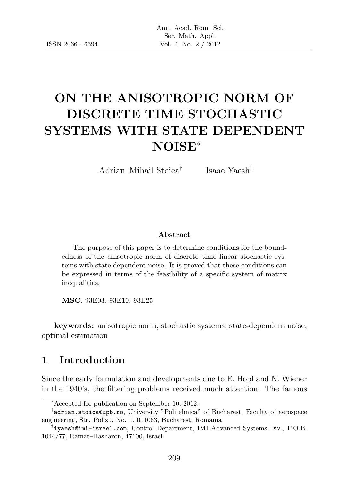# ON THE ANISOTROPIC NORM OF DISCRETE TIME STOCHASTIC SYSTEMS WITH STATE DEPENDENT NOISE<sup>∗</sup>

Adrian–Mihail Stoica†

Isaac Yaesh‡

#### Abstract

The purpose of this paper is to determine conditions for the boundedness of the anisotropic norm of discrete–time linear stochastic systems with state dependent noise. It is proved that these conditions can be expressed in terms of the feasibility of a specific system of matrix inequalities.

MSC: 93E03, 93E10, 93E25

keywords: anisotropic norm, stochastic systems, state-dependent noise, optimal estimation

### 1 Introduction

Since the early formulation and developments due to E. Hopf and N. Wiener in the 1940's, the filtering problems received much attention. The famous

<sup>∗</sup>Accepted for publication on September 10, 2012.

<sup>†</sup> adrian.stoica@upb.ro, University "Politehnica" of Bucharest, Faculty of aerospace engineering, Str. Polizu, No. 1, 011063, Bucharest, Romania

<sup>‡</sup> iyaesh@imi-israel.com, Control Department, IMI Advanced Systems Div., P.O.B. 1044/77, Ramat–Hasharon, 47100, Israel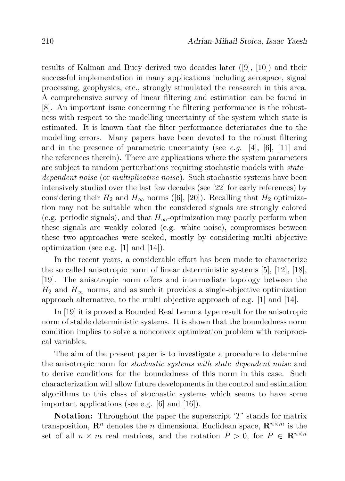results of Kalman and Bucy derived two decades later ([9], [10]) and their successful implementation in many applications including aerospace, signal processing, geophysics, etc., strongly stimulated the reasearch in this area. A comprehensive survey of linear filtering and estimation can be found in [8]. An important issue concerning the filtering performance is the robustness with respect to the modelling uncertainty of the system which state is estimated. It is known that the filter performance deteriorates due to the modelling errors. Many papers have been devoted to the robust filtering and in the presence of parametric uncertainty (see e.g. [4], [6], [11] and the references therein). There are applications where the system parameters are subject to random perturbations requiring stochastic models with state– dependent noise (or multiplicative noise). Such stochastic systems have been intensively studied over the last few decades (see [22] for early references) by considering their  $H_2$  and  $H_{\infty}$  norms ([6], [20]). Recalling that  $H_2$  optimization may not be suitable when the considered signals are strongly colored (e.g. periodic signals), and that  $H_{\infty}$ -optimization may poorly perform when these signals are weakly colored (e.g. white noise), compromises between these two approaches were seeked, mostly by considering multi objective optimization (see e.g. [1] and [14]).

In the recent years, a considerable effort has been made to characterize the so called anisotropic norm of linear deterministic systems [5], [12], [18], [19]. The anisotropic norm offers and intermediate topology between the  $H_2$  and  $H_{\infty}$  norms, and as such it provides a single-objective optimization approach alternative, to the multi objective approach of e.g. [1] and [14].

In [19] it is proved a Bounded Real Lemma type result for the anisotropic norm of stable deterministic systems. It is shown that the boundedness norm condition implies to solve a nonconvex optimization problem with reciprocical variables.

The aim of the present paper is to investigate a procedure to determine the anisotropic norm for stochastic systems with state–dependent noise and to derive conditions for the boundedness of this norm in this case. Such characterization will allow future developments in the control and estimation algorithms to this class of stochastic systems which seems to have some important applications (see e.g. [6] and [16]).

**Notation:** Throughout the paper the superscript  $T$  stands for matrix transposition,  $\mathbb{R}^n$  denotes the *n* dimensional Euclidean space,  $\mathbb{R}^{n \times m}$  is the set of all  $n \times m$  real matrices, and the notation  $P > 0$ , for  $P \in \mathbb{R}^{n \times n}$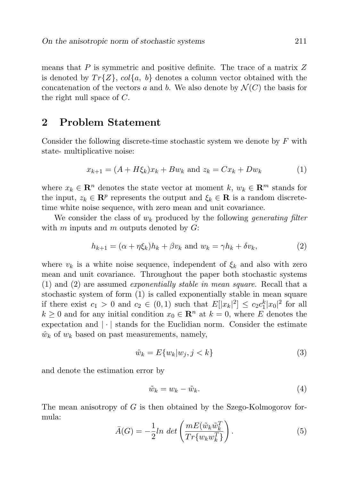means that  $P$  is symmetric and positive definite. The trace of a matrix  $Z$ is denoted by  $Tr{Z}$ ,  $col{a, b}$  denotes a column vector obtained with the concatenation of the vectors a and b. We also denote by  $\mathcal{N}(C)$  the basis for the right null space of C.

#### 2 Problem Statement

Consider the following discrete-time stochastic system we denote by F with state- multiplicative noise:

$$
x_{k+1} = (A + H\xi_k)x_k + Bw_k \text{ and } z_k = Cx_k + Dw_k \tag{1}
$$

where  $x_k \in \mathbb{R}^n$  denotes the state vector at moment k,  $w_k \in \mathbb{R}^m$  stands for the input,  $z_k \in \mathbb{R}^p$  represents the output and  $\xi_k \in \mathbb{R}$  is a random discretetime white noise sequence, with zero mean and unit covariance.

We consider the class of  $w_k$  produced by the following generating filter with  $m$  inputs and  $m$  outputs denoted by  $G$ :

$$
h_{k+1} = (\alpha + \eta \xi_k)h_k + \beta v_k \text{ and } w_k = \gamma h_k + \delta v_k,
$$
\n(2)

where  $v_k$  is a white noise sequence, independent of  $\xi_k$  and also with zero mean and unit covariance. Throughout the paper both stochastic systems (1) and (2) are assumed exponentially stable in mean square. Recall that a stochastic system of form (1) is called exponentially stable in mean square if there exist  $c_1 > 0$  and  $c_2 \in (0,1)$  such that  $E[|x_k|^2] \leq c_2 c_1^k |x_0|^2$  for all  $k \geq 0$  and for any initial condition  $x_0 \in \mathbb{R}^n$  at  $k = 0$ , where E denotes the expectation and  $|\cdot|$  stands for the Euclidian norm. Consider the estimate  $\hat{w}_k$  of  $w_k$  based on past measurements, namely,

$$
\hat{w}_k = E\{w_k | w_j, j < k\} \tag{3}
$$

and denote the estimation error by

$$
\tilde{w}_k = w_k - \hat{w}_k. \tag{4}
$$

The mean anisotropy of G is then obtained by the Szego-Kolmogorov formula:

$$
\bar{A}(G) = -\frac{1}{2}ln \, det \left( \frac{mE(\tilde{w}_k \tilde{w}_k^T)}{Tr\{w_k w_k^T\}} \right). \tag{5}
$$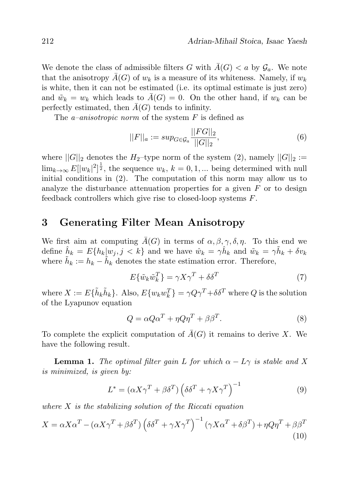We denote the class of admissible filters G with  $\bar{A}(G) < a$  by  $\mathcal{G}_a$ . We note that the anisotropy  $\bar{A}(G)$  of  $w_k$  is a measure of its whiteness. Namely, if  $w_k$ is white, then it can not be estimated (i.e. its optimal estimate is just zero) and  $\tilde{w}_k = w_k$  which leads to  $\bar{A}(G) = 0$ . On the other hand, if  $w_k$  can be perfectly estimated, then  $A(G)$  tends to infinity.

The *a–anisotropic norm* of the system  $F$  is defined as

$$
||F||_a := \sup_{G \in \mathcal{G}_a} \frac{||FG||_2}{||G||_2},\tag{6}
$$

where  $||G||_2$  denotes the H<sub>2</sub>-type norm of the system (2), namely  $||G||_2 :=$  $\lim_{k\to\infty} E[|w_k|^2]^{\frac{1}{2}}$ , the sequence  $w_k$ ,  $k=0,1,...$  being determined with null initial conditions in (2). The computation of this norm may allow us to analyze the disturbance attenuation properties for a given  $F$  or to design feedback controllers which give rise to closed-loop systems F.

# 3 Generating Filter Mean Anisotropy

We first aim at computing  $\bar{A}(G)$  in terms of  $\alpha, \beta, \gamma, \delta, \eta$ . To this end we define  $\hat{h}_k = E\{h_k|w_j, j \leq k\}$  and we have  $\hat{w}_k = \gamma \hat{h}_k$  and  $\tilde{w}_k = \gamma \tilde{h}_k + \delta v_k$ where  $\tilde{h}_k := h_k - \tilde{h}_k$  denotes the state estimation error. Therefore,

$$
E\{\tilde{w}_k \tilde{w}_k^T\} = \gamma X \gamma^T + \delta \delta^T \tag{7}
$$

where  $X := E\{\tilde{h}_k\tilde{h}_k\}$ . Also,  $E\{w_kw_k^T\} = \gamma Q\gamma^T + \delta\delta^T$  where  $Q$  is the solution of the Lyapunov equation

$$
Q = \alpha Q \alpha^T + \eta Q \eta^T + \beta \beta^T. \tag{8}
$$

To complete the explicit computation of  $\bar{A}(G)$  it remains to derive X. We have the following result.

**Lemma 1.** The optimal filter gain L for which  $\alpha - L\gamma$  is stable and X is minimized, is given by:

$$
L^* = (\alpha X \gamma^T + \beta \delta^T) \left( \delta \delta^T + \gamma X \gamma^T \right)^{-1}
$$
 (9)

where  $X$  is the stabilizing solution of the Riccati equation

$$
X = \alpha X \alpha^{T} - (\alpha X \gamma^{T} + \beta \delta^{T}) (\delta \delta^{T} + \gamma X \gamma^{T})^{-1} (\gamma X \alpha^{T} + \delta \beta^{T}) + \eta Q \eta^{T} + \beta \beta^{T}
$$
\n(10)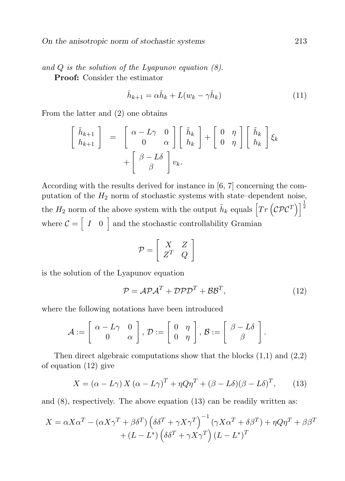and  $Q$  is the solution of the Lyapunov equation  $(8)$ . Proof: Consider the estimator

$$
\hat{h}_{k+1} = \alpha \hat{h}_k + L(w_k - \gamma \hat{h}_k)
$$
\n(11)

From the latter and (2) one obtains

$$
\begin{bmatrix}\n\tilde{h}_{k+1} \\
h_{k+1}\n\end{bmatrix} = \begin{bmatrix}\n\alpha - L\gamma & 0 \\
0 & \alpha\n\end{bmatrix} \begin{bmatrix}\n\tilde{h}_k \\
h_k\n\end{bmatrix} + \begin{bmatrix}\n0 & \eta \\
0 & \eta\n\end{bmatrix} \begin{bmatrix}\n\tilde{h}_k \\
h_k\n\end{bmatrix} \xi_k + \begin{bmatrix}\n\beta - L\delta \\
\beta\n\end{bmatrix} v_k.
$$

According with the results derived for instance in [6, 7] concerning the computation of the  $H_2$  norm of stochastic systems with state–dependent noise, the  $H_2$  norm of the above system with the output  $\tilde{h}_k$  equals  $\left[Tr\left(\mathcal{CPC}^T\right)\right]^{\frac{1}{2}}$ where  $\mathcal{C} = \begin{bmatrix} I & 0 \end{bmatrix}$  and the stochastic controllability Gramian

$$
\mathcal{P} = \left[ \begin{array}{cc} X & Z \\ Z^T & Q \end{array} \right]
$$

is the solution of the Lyapunov equation

$$
\mathcal{P} = \mathcal{APA}^T + \mathcal{DPD}^T + \mathcal{BB}^T,\tag{12}
$$

where the following notations have been introduced

$$
\mathcal{A}:=\left[\begin{array}{cc} \alpha-L\gamma & 0 \\ 0 & \alpha \end{array}\right], \, \mathcal{D}:=\left[\begin{array}{cc} 0 & \eta \\ 0 & \eta \end{array}\right], \, \mathcal{B}:=\left[\begin{array}{cc} \beta-L\delta \\ \beta \end{array}\right].
$$

Then direct algebraic computations show that the blocks  $(1,1)$  and  $(2,2)$ of equation (12) give

$$
X = (\alpha - L\gamma) X (\alpha - L\gamma)^T + \eta Q \eta^T + (\beta - L\delta)(\beta - L\delta)^T, \qquad (13)
$$

and  $(8)$ , respectively. The above equation  $(13)$  can be readily written as:

$$
X = \alpha X \alpha^{T} - (\alpha X \gamma^{T} + \beta \delta^{T}) (\delta \delta^{T} + \gamma X \gamma^{T})^{-1} (\gamma X \alpha^{T} + \delta \beta^{T}) + \eta Q \eta^{T} + \beta \beta^{T}
$$

$$
+ (L - L^{*}) (\delta \delta^{T} + \gamma X \gamma^{T}) (L - L^{*})^{T}
$$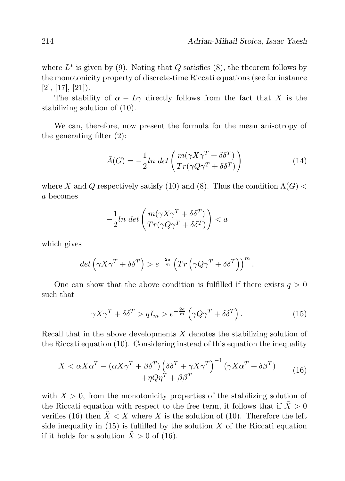where  $L^*$  is given by (9). Noting that  $Q$  satisfies (8), the theorem follows by the monotonicity property of discrete-time Riccati equations (see for instance  $[2], [17], [21]$ .

The stability of  $\alpha - L\gamma$  directly follows from the fact that X is the stabilizing solution of (10).

We can, therefore, now present the formula for the mean anisotropy of the generating filter (2):

$$
\bar{A}(G) = -\frac{1}{2}ln \, det \left( \frac{m(\gamma X \gamma^T + \delta \delta^T)}{Tr(\gamma Q \gamma^T + \delta \delta^T)} \right) \tag{14}
$$

where X and Q respectively satisfy (10) and (8). Thus the condition  $\bar{\Lambda}(G)$  < a becomes

$$
-\frac{1}{2}ln \ det \left( \frac{m(\gamma X \gamma^T + \delta \delta^T)}{Tr(\gamma Q \gamma^T + \delta \delta^T)} \right) < a
$$

which gives

$$
det\left(\gamma X\gamma^{T} + \delta\delta^{T}\right) > e^{-\frac{2a}{m}}\left(Tr\left(\gamma Q\gamma^{T} + \delta\delta^{T}\right)\right)^{m}.
$$

One can show that the above condition is fulfilled if there exists  $q > 0$ such that

$$
\gamma X \gamma^T + \delta \delta^T > q I_m > e^{-\frac{2a}{m}} \left( \gamma Q \gamma^T + \delta \delta^T \right). \tag{15}
$$

Recall that in the above developments  $X$  denotes the stabilizing solution of the Riccati equation (10). Considering instead of this equation the inequality

$$
X < \alpha X \alpha^T - (\alpha X \gamma^T + \beta \delta^T) \left( \delta \delta^T + \gamma X \gamma^T \right)^{-1} (\gamma X \alpha^T + \delta \beta^T) \\
 \quad + \eta Q \eta^T + \beta \beta^T\n \tag{16}
$$

with  $X > 0$ , from the monotonicity properties of the stabilizing solution of the Riccati equation with respect to the free term, it follows that if  $X > 0$ verifies (16) then  $X < X$  where X is the solution of (10). Therefore the left side inequality in  $(15)$  is fulfilled by the solution X of the Riccati equation if it holds for a solution  $\tilde{X} > 0$  of (16).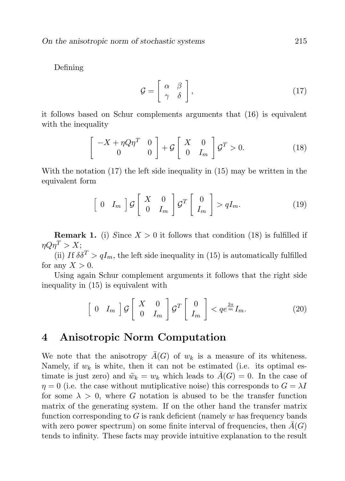Defining

$$
\mathcal{G} = \left[ \begin{array}{cc} \alpha & \beta \\ \gamma & \delta \end{array} \right],\tag{17}
$$

it follows based on Schur complements arguments that (16) is equivalent with the inequality

$$
\begin{bmatrix} -X + \eta Q \eta^T & 0\\ 0 & 0 \end{bmatrix} + \mathcal{G} \begin{bmatrix} X & 0\\ 0 & I_m \end{bmatrix} \mathcal{G}^T > 0.
$$
 (18)

With the notation (17) the left side inequality in (15) may be written in the equivalent form

$$
\left[\begin{array}{cc}0 & I_m\end{array}\right]\mathcal{G}\left[\begin{array}{cc}X & 0\\ 0 & I_m\end{array}\right]\mathcal{G}^T\left[\begin{array}{c}0\\ I_m\end{array}\right] > qI_m. \tag{19}
$$

**Remark 1.** (i) Since  $X > 0$  it follows that condition (18) is fulfilled if  $\eta Q \eta^T > X;$ 

(ii) If  $\delta \delta^T > qI_m$ , the left side inequality in (15) is automatically fulfilled for any  $X > 0$ .

Using again Schur complement arguments it follows that the right side inequality in (15) is equivalent with

$$
\left[\begin{array}{cc}0 & I_m\end{array}\right]\mathcal{G}\left[\begin{array}{cc}X & 0\\ 0 & I_m\end{array}\right]\mathcal{G}^T\left[\begin{array}{c}0\\ I_m\end{array}\right] < qe^{\frac{2a}{m}}I_m.\tag{20}
$$

#### 4 Anisotropic Norm Computation

We note that the anisotropy  $A(G)$  of  $w_k$  is a measure of its whiteness. Namely, if  $w_k$  is white, then it can not be estimated (i.e. its optimal estimate is just zero) and  $\tilde{w}_k = w_k$  which leads to  $A(G) = 0$ . In the case of  $\eta = 0$  (i.e. the case without mutiplicative noise) this corresponds to  $G = \lambda I$ for some  $\lambda > 0$ , where G notation is abused to be the transfer function matrix of the generating system. If on the other hand the transfer matrix function corresponding to  $G$  is rank deficient (namely  $w$  has frequency bands with zero power spectrum) on some finite interval of frequencies, then  $\overline{A}(G)$ tends to infinity. These facts may provide intuitive explanation to the result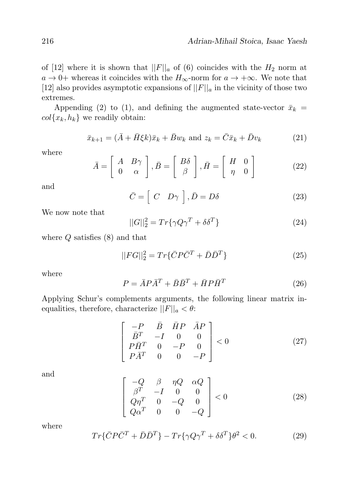of [12] where it is shown that  $||F||_a$  of (6) coincides with the  $H_2$  norm at  $a \to 0+$  whereas it coincides with the  $H_{\infty}$ -norm for  $a \to +\infty$ . We note that [12] also provides asymptotic expansions of  $||F||_a$  in the vicinity of those two extremes.

Appending (2) to (1), and defining the augmented state-vector  $\bar{x}_k$  =  $col{x_k, h_k}$  we readily obtain:

$$
\bar{x}_{k+1} = (\bar{A} + \bar{H}\xi k)\bar{x}_k + \bar{B}w_k \text{ and } z_k = \bar{C}\bar{x}_k + \bar{D}v_k \tag{21}
$$

where

$$
\bar{A} = \begin{bmatrix} A & B\gamma \\ 0 & \alpha \end{bmatrix}, \bar{B} = \begin{bmatrix} B\delta \\ \beta \end{bmatrix}, \bar{H} = \begin{bmatrix} H & 0 \\ \eta & 0 \end{bmatrix}
$$
 (22)

and

$$
\bar{C} = \left[ C \quad D\gamma \right], \bar{D} = D\delta \tag{23}
$$

We now note that

$$
||G||_2^2 = Tr{\gamma Q \gamma^T + \delta \delta^T}
$$
\n(24)

where  $Q$  satisfies  $(8)$  and that

$$
||FG||_2^2 = Tr{\{\bar{C}P\bar{C}^T + \bar{D}\bar{D}^T\}}
$$
\n(25)

where

$$
P = \bar{A}P\bar{A}^T + \bar{B}\bar{B}^T + \bar{H}P\bar{H}^T
$$
\n(26)

Applying Schur's complements arguments, the following linear matrix inequalities, therefore, characterize  $||F||_a < \theta$ :

$$
\begin{bmatrix}\n-P & \bar{B} & \bar{H}P & \bar{A}P \\
\bar{B}^T & -I & 0 & 0 \\
P\bar{H}^T & 0 & -P & 0 \\
P\bar{A}^T & 0 & 0 & -P\n\end{bmatrix} < 0
$$
\n(27)

and

$$
\begin{bmatrix}\n-Q & \beta & \eta Q & \alpha Q \\
\beta^T & -I & 0 & 0 \\
Q\eta^T & 0 & -Q & 0 \\
Q\alpha^T & 0 & 0 & -Q\n\end{bmatrix} < 0
$$
\n(28)

where

$$
Tr{\{\bar{C}P\bar{C}^T + \bar{D}\bar{D}^T\}} - Tr{\{\gamma Q\gamma^T + \delta\delta^T\}}\theta^2 < 0.
$$
 (29)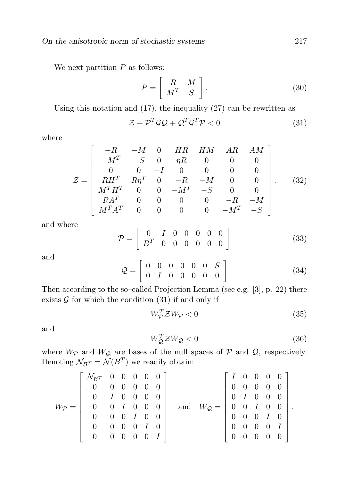We next partition  $P$  as follows:

$$
P = \left[ \begin{array}{cc} R & M \\ M^T & S \end{array} \right].\tag{30}
$$

Using this notation and (17), the inequality (27) can be rewritten as

$$
\mathcal{Z} + \mathcal{P}^T \mathcal{G} \mathcal{Q} + \mathcal{Q}^T \mathcal{G}^T \mathcal{P} < 0 \tag{31}
$$

where

$$
\mathcal{Z} = \begin{bmatrix}\n-R & -M & 0 & HR & HM & AR & AM \\
-M^T & -S & 0 & \eta R & 0 & 0 & 0 \\
0 & 0 & -I & 0 & 0 & 0 & 0 \\
RH^T & R\eta^T & 0 & -R & -M & 0 & 0 \\
M^T H^T & 0 & 0 & -M^T & -S & 0 & 0 \\
RA^T & 0 & 0 & 0 & 0 & -R & -M \\
M^T A^T & 0 & 0 & 0 & 0 & -M^T & -S\n\end{bmatrix}.
$$
\n(32)

and where

$$
\mathcal{P} = \left[ \begin{array}{cccccc} 0 & I & 0 & 0 & 0 & 0 & 0 \\ B^T & 0 & 0 & 0 & 0 & 0 & 0 \\ \end{array} \right] \tag{33}
$$

and

$$
Q = \left[ \begin{array}{cccccc} 0 & 0 & 0 & 0 & 0 & S \\ 0 & I & 0 & 0 & 0 & 0 & 0 \\ \end{array} \right] \tag{34}
$$

Then according to the so–called Projection Lemma (see e.g. [3], p. 22) there exists  $\mathcal G$  for which the condition (31) if and only if

$$
W_{\mathcal{P}}^T \mathcal{Z} W_{\mathcal{P}} < 0 \tag{35}
$$

and

$$
W_{\mathcal{Q}}^T \mathcal{Z} W_{\mathcal{Q}} < 0 \tag{36}
$$

where  $W_{\mathcal{P}}$  and  $W_{\mathcal{Q}}$  are bases of the null spaces of  $\mathcal{P}$  and  $\mathcal{Q}$ , respectively. Denoting  $\mathcal{N}_{\mathcal{B}}\tau = \mathcal{N}(B^T)$  we readily obtain:

$$
W_{\mathcal{P}} = \left[\begin{array}{cccccc} \mathcal{N}_{\mathcal{B}} & \begin{array}{cccc} 0 & 0 & 0 & 0 & 0 \\ 0 & 0 & 0 & 0 & 0 \\ 0 & I & 0 & 0 & 0 \\ 0 & 0 & I & 0 & 0 & 0 \\ 0 & 0 & 0 & I & 0 & 0 \\ 0 & 0 & 0 & 0 & I & 0 \\ 0 & 0 & 0 & 0 & 0 & I \end{array}\right] \quad \text{and} \quad W_{\mathcal{Q}} = \left[\begin{array}{cccccc} I & 0 & 0 & 0 & 0 \\ 0 & 0 & 0 & 0 & 0 \\ 0 & I & 0 & 0 & 0 \\ 0 & 0 & I & 0 & 0 \\ 0 & 0 & 0 & I & 0 \\ 0 & 0 & 0 & 0 & I \end{array}\right].
$$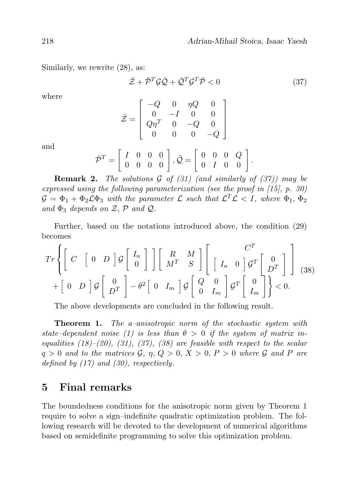Similarly, we rewrite (28), as:

$$
\bar{\mathcal{Z}} + \bar{\mathcal{P}}^T \mathcal{G} \bar{\mathcal{Q}} + \bar{\mathcal{Q}}^T \mathcal{G}^T \bar{\mathcal{P}} < 0 \tag{37}
$$

where

$$
\bar{\mathcal{Z}} = \left[ \begin{array}{rrrr} -Q & 0 & \eta Q & 0 \\ 0 & -I & 0 & 0 \\ Q\eta^T & 0 & -Q & 0 \\ 0 & 0 & 0 & -Q \end{array} \right]
$$

and

$$
\bar{\mathcal{P}}^T = \left[ \begin{array}{rrr} I & 0 & 0 & 0 \\ 0 & 0 & 0 & 0 \end{array} \right], \bar{\mathcal{Q}} = \left[ \begin{array}{rrr} 0 & 0 & 0 & Q \\ 0 & I & 0 & 0 \end{array} \right].
$$

**Remark 2.** The solutions G of  $(31)$  (and similarly of  $(37)$ ) may be expressed using the following parameterization (see the proof in [15], p. 30)  $\mathcal{G} = \Phi_1 + \Phi_2 \mathcal{L} \Phi_3$  with the parameter  $\mathcal{L}$  such that  $\mathcal{L}^T \mathcal{L} < I$ , where  $\Phi_1$ ,  $\Phi_2$ and  $\Phi_3$  depends on Z, P and Q.

Further, based on the notations introduced above, the condition (29) becomes

$$
Tr\left\{ \begin{bmatrix} C & \begin{bmatrix} 0 & D \end{bmatrix} \mathcal{G} \begin{bmatrix} I_n \\ 0 \end{bmatrix} \end{bmatrix} \begin{bmatrix} R & M \\ M^T & S \end{bmatrix} \begin{bmatrix} C^T \\ \begin{bmatrix} I_n & 0 \end{bmatrix} \mathcal{G}^T \begin{bmatrix} 0 \\ D^T \end{bmatrix} \end{bmatrix} \right\} (38)
$$
\n
$$
+ \begin{bmatrix} 0 & D \end{bmatrix} \mathcal{G} \begin{bmatrix} 0 \\ D^T \end{bmatrix} - \theta^2 \begin{bmatrix} 0 & I_m \end{bmatrix} \mathcal{G} \begin{bmatrix} Q & 0 \\ 0 & I_m \end{bmatrix} \mathcal{G}^T \begin{bmatrix} 0 \\ I_m \end{bmatrix} \right\} < 0.
$$

The above developments are concluded in the following result.

**Theorem 1.** The a-anisotropic norm of the stochastic system with state–dependent noise (1) is less than  $\theta > 0$  if the system of matrix inequalities  $(18)$ – $(20)$ ,  $(31)$ ,  $(37)$ ,  $(38)$  are feasible with respect to the scalar  $q > 0$  and to the matrices  $\mathcal{G}, \eta, Q > 0, X > 0, P > 0$  where  $\mathcal{G}$  and P are defined by  $(17)$  and  $(30)$ , respectively.

#### 5 Final remarks

The boundedness conditions for the anisotropic norm given by Theorem 1 require to solve a sign–indefinite quadratic optimization problem. The following research will be devoted to the development of numerical algorithms based on semidefinite programming to solve this optimization problem.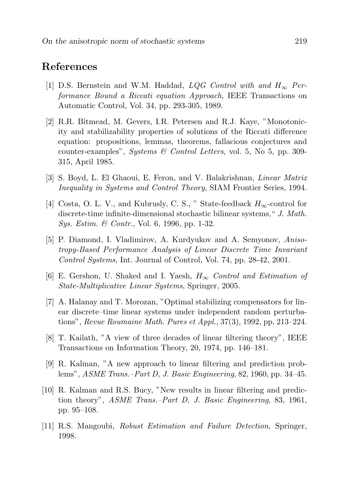# References

- [1] D.S. Bernstein and W.M. Haddad,  $LQG$  Control with and  $H_{\infty}$  Performance Bound a Riccati equation Approach, IEEE Transactions on Automatic Control, Vol. 34, pp. 293-305, 1989.
- [2] R.R. Bitmead, M. Gevers, I.R. Petersen and R.J. Kaye, "Monotonicity and stabilizability properties of solutions of the Riccati difference equation: propositions, lemmas, theorems, fallacious conjectures and counter-examples", *Systems*  $\&$  Control Letters, vol. 5, No 5, pp. 309-315, April 1985.
- [3] S. Boyd, L. El Ghaoui, E. Feron, and V. Balakrishnan, Linear Matrix Inequality in Systems and Control Theory, SIAM Frontier Series, 1994.
- [4] Costa, O. L. V., and Kubrusly, C. S., "State-feedback  $H_{\infty}$ -control for discrete-time infinite-dimensional stochastic bilinear systems," J. Math. Sys. Estim. & Contr., Vol. 6, 1996, pp. 1-32.
- [5] P. Diamond, I. Vladimirov, A. Kurdyukov and A. Semyonov, Anisotropy-Based Performance Analysis of Linear Discrete Time Invariant Control Systems, Int. Journal of Control, Vol. 74, pp. 28-42, 2001.
- [6] E. Gershon, U. Shaked and I. Yaesh,  $H_{\infty}$  Control and Estimation of State-Multiplicative Linear Systems, Springer, 2005.
- [7] A. Halanay and T. Morozan, "Optimal stabilizing compensators for linear discrete–time linear systems under independent random perturbations", Revue Roumaine Math. Pures et Appl., 37(3), 1992, pp. 213–224.
- [8] T. Kailath, "A view of three decades of linear filtering theory", IEEE Transactions on Information Theory, 20, 1974, pp. 146–181.
- [9] R. Kalman, "A new approach to linear filtering and prediction problems", ASME Trans.–Part D, J. Basic Engineering, 82, 1960, pp. 34–45.
- [10] R. Kalman and R.S. Bucy, "New results in linear filtering and prediction theory", ASME Trans.–Part D, J. Basic Engineering, 83, 1961, pp. 95–108.
- [11] R.S. Mangoubi, Robust Estimation and Failure Detection, Springer, 1998.